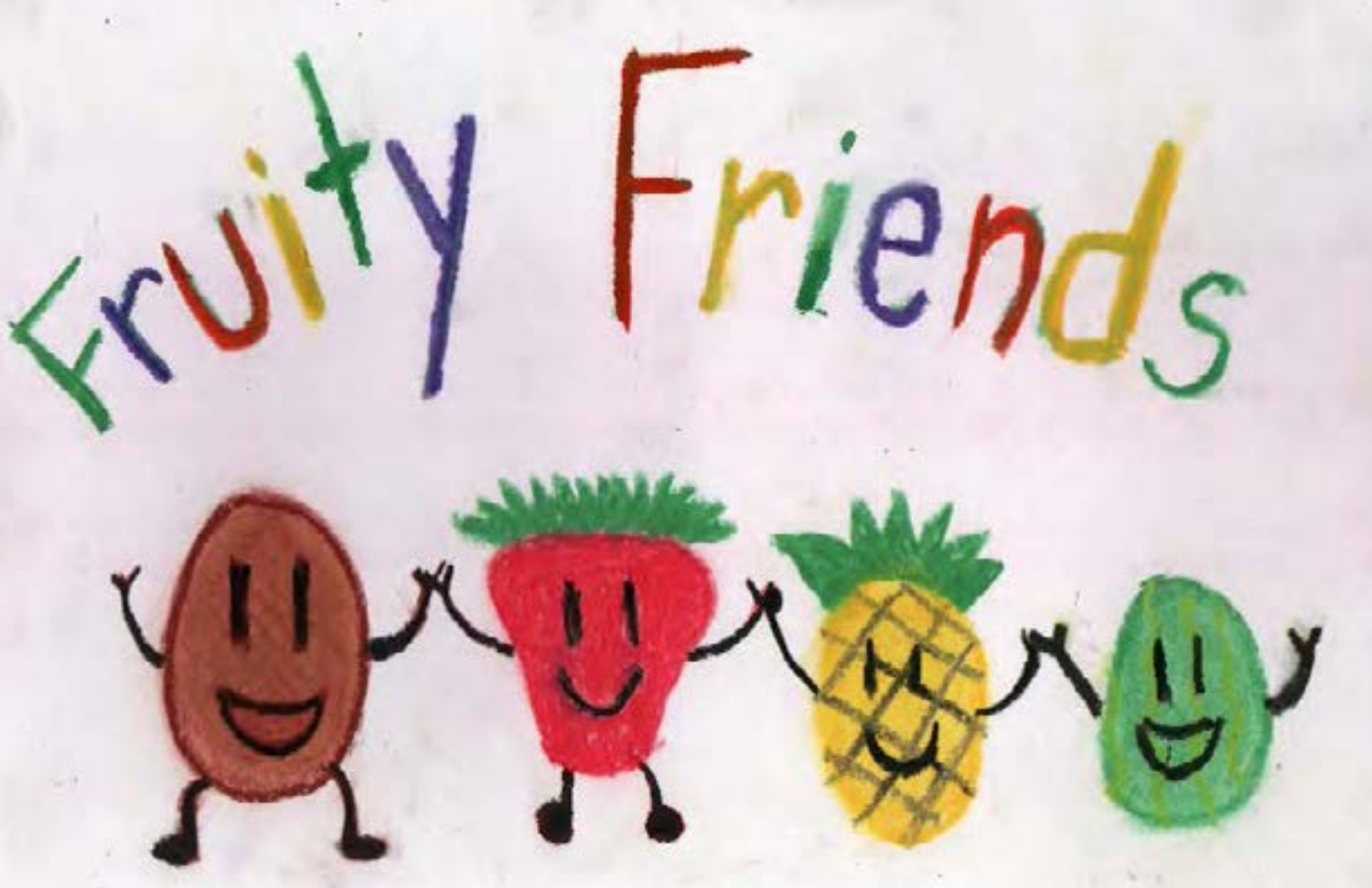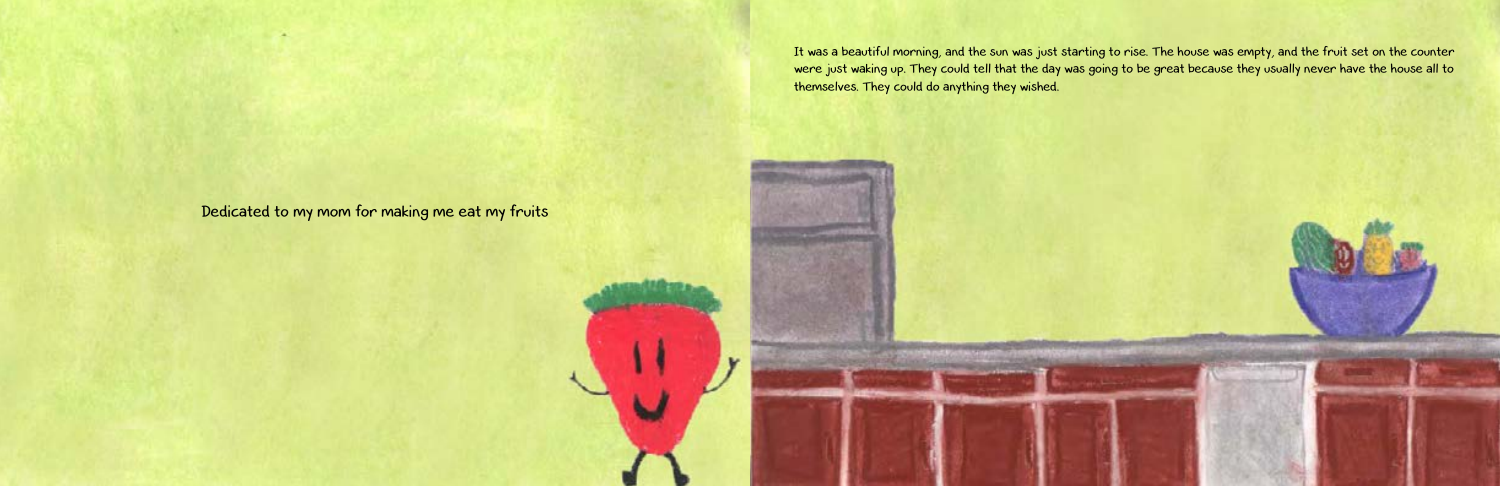It was a beautiful morning, and the sun was just starting to rise. The house was empty, and the fruit set on the counter were just waking up. They could tell that the day was going to be great because they usually never have the house all to themselves. They could do anything they wished.

Dedicated to my mom for making me eat my fruits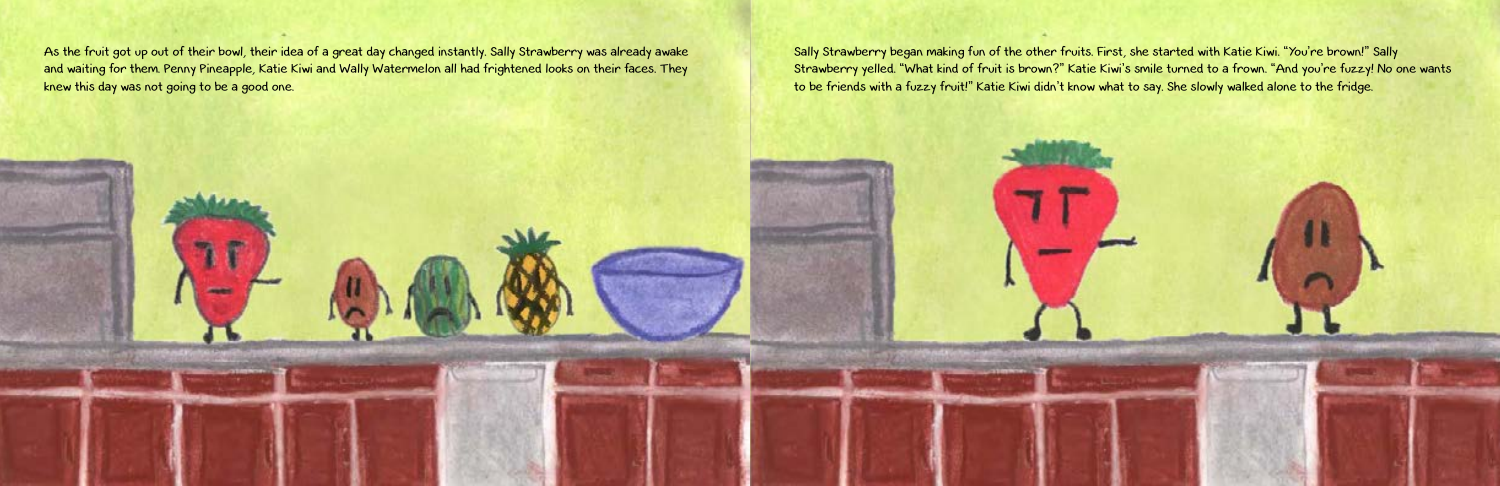As the fruit got up out of their bowl, their idea of a great day changed instantly. Sally Strawberry was already awake and waiting for them. Penny Pineapple, Katie Kiwi and Wally Watermelon all had frightened looks on their faces. They knew this day was not going to be a good one.

Sally Strawberry began making fun of the other fruits. First, she started with Katie Kiwi. "You're brown!" Sally Strawberry yelled. "What kind of fruit is brown?" Katie Kiwi's smile turned to a frown. "And you're fuzzy! No one wants to be friends with a fuzzy fruit!" Katie Kiwi didn't know what to say. She slowly walked alone to the fridge.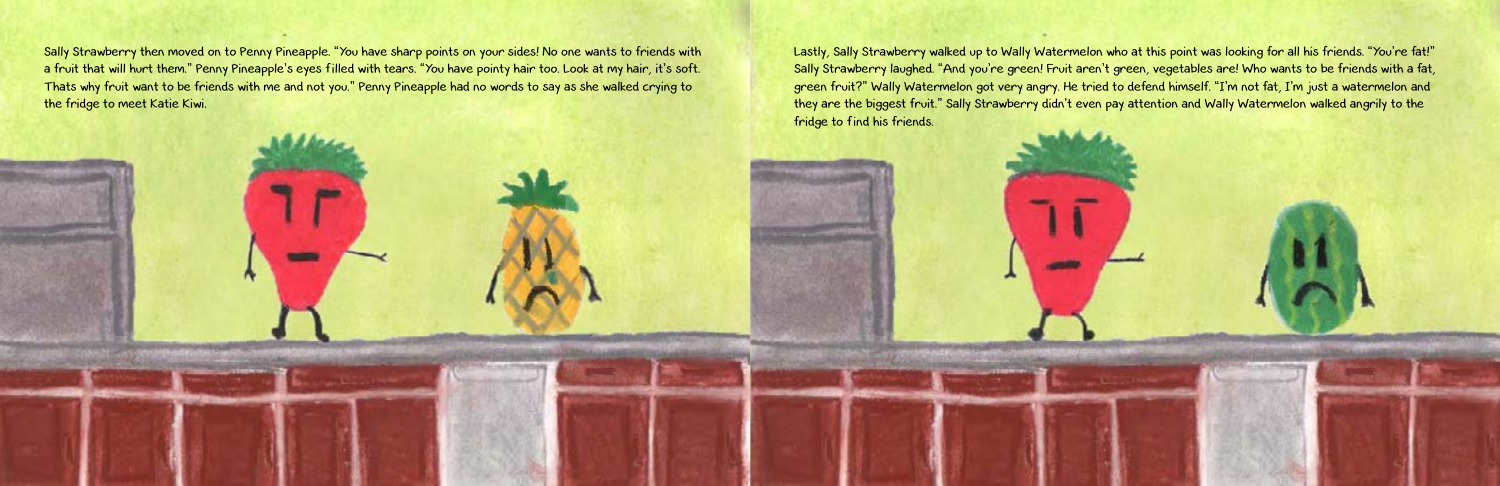Sally Strawberry then moved on to Penny Pineapple. "You have sharp points on your sides! No one wants to friends with a fruit that will hurt them." Penny Pineapple's eyes filled with tears. "You have pointy hair too. Look at my hair, it's soft. Thats why fruit want to be friends with me and not you." Penny Pineapple had no words to say as she walked crying to the fridge to meet Katie Kiwi.

Lastly, Sally Strawberry walked up to Wally Watermelon who at this point was looking for all his friends. "You're fat!" Sally Strawberry laughed. "And you're green! Fruit aren't green, vegetables are! Who wants to be friends with a fat, green fruit?" Wally Watermelon got very angry. He tried to defend himself. "I'm not fat, I'm just a watermelon and they are the biggest fruit." Sally Strawberry didn't even pay attention and Wally Watermelon walked angrily to the fridge to find his friends.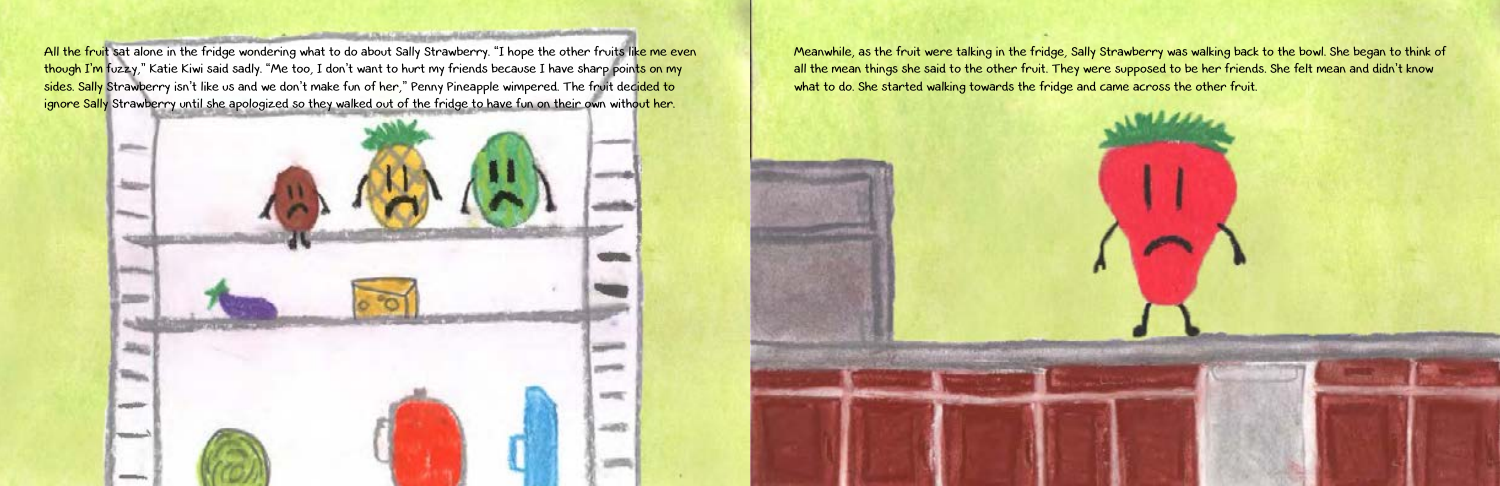All the fruit sat alone in the fridge wondering what to do about Sally Strawberry. "I hope the other fruits like me even though I'm fuzzy," Katie Kiwi said sadly. "Me too, I don't want to hurt my friends because I have sharp points on my sides. Sally Strawberry isn't like us and we don't make fun of her," Penny Pineapple wimpered. The fruit dec<mark>ided to</mark> ignore Sally Strawberry until she apologized so they walked out of the fridge to have fun on their own without her.



Meanwhile, as the fruit were talking in the fridge, Sally Strawberry was walking back to the bowl. She began to think of all the mean things she said to the other fruit. They were supposed to be her friends. She felt mean and didn't know what to do. She started walking towards the fridge and came across the other fruit.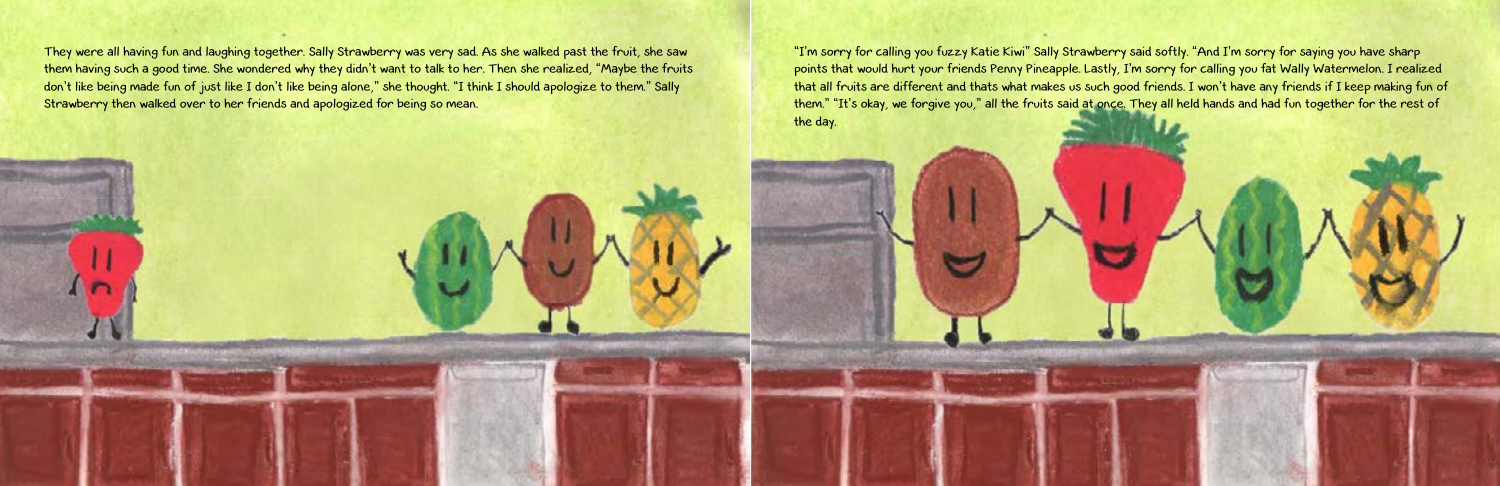They were all having fun and laughing together. Sally Strawberry was very sad. As she walked past the fruit, she saw them having such a good time. She wondered why they didn't want to talk to her. Then she realized, "Maybe the fruits don't like being made fun of just like I don't like being alone," she thought. "I think I should apologize to them." Sally Strawberry then walked over to her friends and apologized for being so mean.

"I'm sorry for calling you fuzzy Katie Kiwi" Sally Strawberry said softly. "And I'm sorry for saying you have sharp points that would hurt your friends Penny Pineapple. Lastly, I'm sorry for calling you fat Wally Watermelon. I realized that all fruits are different and thats what makes us such good friends. I won't have any friends if I keep making fun of them." "It's okay, we forgive you," all the fruits said at once. They all held hands and had fun together for the rest of the day.